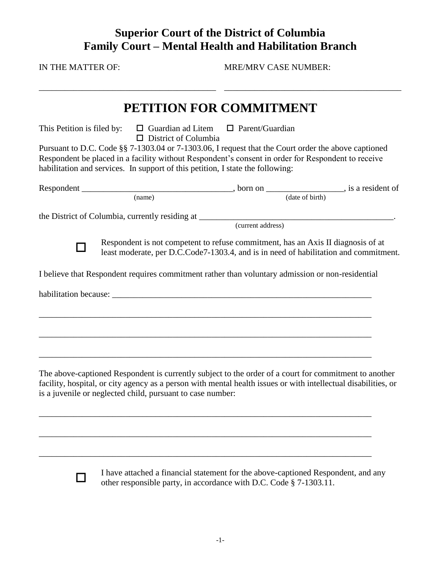## **Superior Court of the District of Columbia Family Court – Mental Health and Habilitation Branch**

IN THE MATTER OF:

\_\_\_\_\_\_\_\_\_\_\_\_\_\_\_\_\_\_\_\_\_\_\_\_\_\_\_\_\_\_\_\_\_\_\_\_\_\_\_\_\_

MRE/MRV CASE NUMBER:

\_\_\_\_\_\_\_\_\_\_\_\_\_\_\_\_\_\_\_\_\_\_\_\_\_\_\_\_\_\_\_\_\_\_\_\_\_\_\_\_\_

## **PETITION FOR COMMITMENT**

This Petition is filed by:  $\Box$  Guardian ad Litem  $\Box$  Parent/Guardian

 $\square$  District of Columbia

Pursuant to D.C. Code §§ 7-1303.04 or 7-1303.06, I request that the Court order the above captioned Respondent be placed in a facility without Respondent's consent in order for Respondent to receive habilitation and services. In support of this petition, I state the following:

| (name)                                                                                                                                                                                                                  |                   | (date of birth) |  |  |
|-------------------------------------------------------------------------------------------------------------------------------------------------------------------------------------------------------------------------|-------------------|-----------------|--|--|
|                                                                                                                                                                                                                         |                   |                 |  |  |
|                                                                                                                                                                                                                         | (current address) |                 |  |  |
| Respondent is not competent to refuse commitment, has an Axis II diagnosis of at<br>least moderate, per D.C.Code7-1303.4, and is in need of habilitation and commitment.                                                |                   |                 |  |  |
| I believe that Respondent requires commitment rather than voluntary admission or non-residential                                                                                                                        |                   |                 |  |  |
|                                                                                                                                                                                                                         |                   |                 |  |  |
|                                                                                                                                                                                                                         |                   |                 |  |  |
|                                                                                                                                                                                                                         |                   |                 |  |  |
|                                                                                                                                                                                                                         |                   |                 |  |  |
|                                                                                                                                                                                                                         |                   |                 |  |  |
|                                                                                                                                                                                                                         |                   |                 |  |  |
| The above-captioned Respondent is currently subject to the order of a court for commitment to another<br>facility, hospital, or city agency as a person with mental health issues or with intellectual disabilities, or |                   |                 |  |  |

facility, hospital, or city agency as a person with mental health issues or with intellectual disabilities, or is a juvenile or neglected child, pursuant to case number:

\_\_\_\_\_\_\_\_\_\_\_\_\_\_\_\_\_\_\_\_\_\_\_\_\_\_\_\_\_\_\_\_\_\_\_\_\_\_\_\_\_\_\_\_\_\_\_\_\_\_\_\_\_\_\_\_\_\_\_\_\_\_\_\_\_\_\_\_\_\_\_\_\_\_\_\_\_

\_\_\_\_\_\_\_\_\_\_\_\_\_\_\_\_\_\_\_\_\_\_\_\_\_\_\_\_\_\_\_\_\_\_\_\_\_\_\_\_\_\_\_\_\_\_\_\_\_\_\_\_\_\_\_\_\_\_\_\_\_\_\_\_\_\_\_\_\_\_\_\_\_\_\_\_\_

\_\_\_\_\_\_\_\_\_\_\_\_\_\_\_\_\_\_\_\_\_\_\_\_\_\_\_\_\_\_\_\_\_\_\_\_\_\_\_\_\_\_\_\_\_\_\_\_\_\_\_\_\_\_\_\_\_\_\_\_\_\_\_\_\_\_\_\_\_\_\_\_\_\_\_\_\_



I have attached a financial statement for the above-captioned Respondent, and any other responsible party, in accordance with D.C. Code § 7-1303.11.